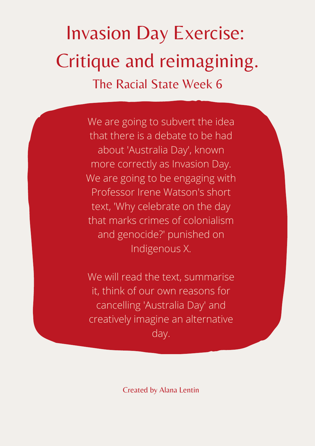Invasion Day Exercise: Critique and reimagining. The Racial State Week 6

> We are going to subvert the idea that there is a debate to be had about 'Australia Day' , known more correctly as Invasion Day. We are going to be engaging with Professor Irene Watson's short text, 'Why celebrate on the day that marks crimes of colonialism and genocide?' punished on Indigenous X.

We will read the text, summarise it, think of our own reasons for cancelling 'Australia Day' and creatively imagine an alternative day.

Created by Alana Lentin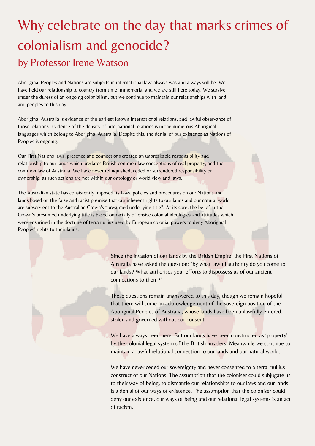Aboriginal Peoples and Nations are subjects in international law: always was and always will be. We have held our relationship to country from time immemorial and we are still here today. We survive under the duress of an ongoing colonialism, but we continue to maintain our relationships with land and peoples to this day.

Aboriginal Australia is evidence of the earliest known International relations, and lawful observance of those relations. Evidence of the density of international relations is in the numerous Aboriginal languages which belong to Aboriginal Australia. Despite this, the denial of our existence as Nations of Peoples is ongoing.

Our First Nations laws, presence and connections created an unbreakable responsibility and relationship to our lands which predates British common law conceptions of real property, and the common law of Australia. We have never relinquished, ceded or surrendered responsibility or ownership, as such actions are not within our ontology or world view and laws.

The Australian state has consistently imposed its laws, policies and procedures on our Nations and lands based on the false and racist premise that our inherent rights to our lands and our natural world are subservient to the Australian Crown's "presumed underlying title". At its core, the belief in the Crown's presumed underlying title is based on racially offensive colonial ideologies and attitudes which were enshrined in the doctrine of terra nullius used by European colonial powers to deny Aboriginal Peoples' rights to their lands.

> We have never ceded our sovereignty and never consented to a terra–nullius construct of our Nations. The assumption that the coloniser could subjugate us to their way of being, to dismantle our relationships to our laws and our lands, is a denial of our ways of existence. The assumption that the coloniser could deny our existence, our ways of being and our relational legal systems is an act of racism.

## Why celebrate on the day that marks crimes of colonialism and genocide? by Professor Irene Watson

Since the invasion of our lands by the British Empire, the First Nations of Australia have asked the question: "by what lawful authority do you come to our lands? What authorises your efforts to dispossess us of our ancient connections to them?"

These questions remain unanswered to this day, though we remain hopeful that there will come an acknowledgement of the sovereign position of the Aboriginal Peoples of Australia, whose lands have been unlawfully entered, stolen and governed without our consent.

We have always been here. But our lands have been constructed as 'property' by the colonial legal system of the British invaders. Meanwhile we continue to maintain a lawful relational connection to our lands and our natural world.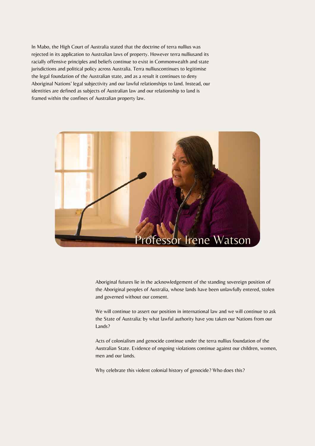In Mabo, the High Court of Australia stated that the doctrine of terra nullius was rejected in its application to Australian laws of property. However terra nulliusand its racially offensive principles and beliefs continue to exist in Commonwealth and state jurisdictions and political policy across Australia. Terra nulliuscontinues to legitimise the legal foundation of the Australian state, and as a result it continues to deny Aboriginal Nations' legal subjectivity and our lawful relationships to land. Instead, our identities are defined as subjects of Australian law and our relationship to land is framed within the confines of Australian property law.



## Professor Irene Watson

Aboriginal futures lie in the acknowledgement of the standing sovereign position of the Aboriginal peoples of Australia, whose lands have been unlawfully entered, stolen and governed without our consent.

We will continue to assert our position in international law and we will continue to ask the State of Australia: by what lawful authority have you taken our Nations from our Lands?

Acts of colonialism and genocide continue under the terra nullius foundation of the Australian State. Evidence of ongoing violations continue against our children, women, men and our lands.

Why celebrate this violent colonial history of genocide? Who does this?